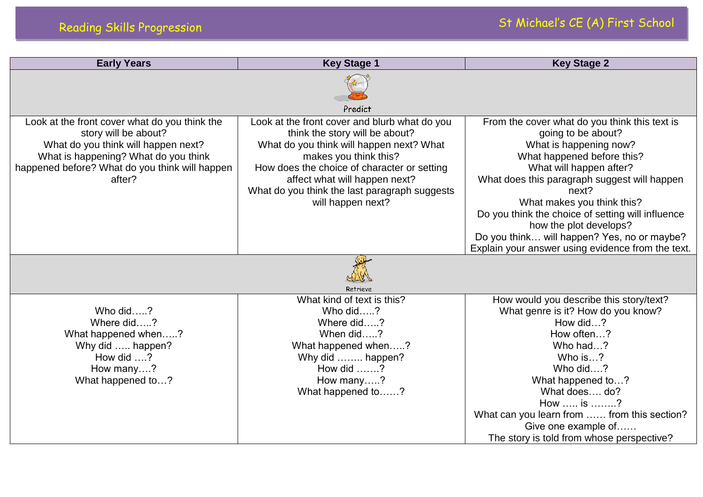| <b>Early Years</b>                                                                                                                                                                                               | <b>Key Stage 1</b>                                                                                                                                                                                                                                                                                         | <b>Key Stage 2</b>                                                                                                                                                                                                                                                                                                                                                                                                               |
|------------------------------------------------------------------------------------------------------------------------------------------------------------------------------------------------------------------|------------------------------------------------------------------------------------------------------------------------------------------------------------------------------------------------------------------------------------------------------------------------------------------------------------|----------------------------------------------------------------------------------------------------------------------------------------------------------------------------------------------------------------------------------------------------------------------------------------------------------------------------------------------------------------------------------------------------------------------------------|
|                                                                                                                                                                                                                  | Predict                                                                                                                                                                                                                                                                                                    |                                                                                                                                                                                                                                                                                                                                                                                                                                  |
| Look at the front cover what do you think the<br>story will be about?<br>What do you think will happen next?<br>What is happening? What do you think<br>happened before? What do you think will happen<br>after? | Look at the front cover and blurb what do you<br>think the story will be about?<br>What do you think will happen next? What<br>makes you think this?<br>How does the choice of character or setting<br>affect what will happen next?<br>What do you think the last paragraph suggests<br>will happen next? | From the cover what do you think this text is<br>going to be about?<br>What is happening now?<br>What happened before this?<br>What will happen after?<br>What does this paragraph suggest will happen<br>next?<br>What makes you think this?<br>Do you think the choice of setting will influence<br>how the plot develops?<br>Do you think will happen? Yes, no or maybe?<br>Explain your answer using evidence from the text. |
|                                                                                                                                                                                                                  | Retrieve                                                                                                                                                                                                                                                                                                   |                                                                                                                                                                                                                                                                                                                                                                                                                                  |
| Who did?<br>Where did?<br>What happened when?<br>Why did  happen?<br>How did $\dots$ ?<br>How many?<br>What happened to?                                                                                         | What kind of text is this?<br>Who did?<br>Where did?<br>When did?<br>What happened when?<br>Why did  happen?<br>How did $\dots$ ?<br>How many?<br>What happened to?                                                                                                                                        | How would you describe this story/text?<br>What genre is it? How do you know?<br>How did?<br>How often?<br>Who had?<br>Who is?<br>Who did?<br>What happened to?<br>What does do?<br>How  is ?<br>What can you learn from  from this section?<br>Give one example of<br>The story is told from whose perspective?                                                                                                                 |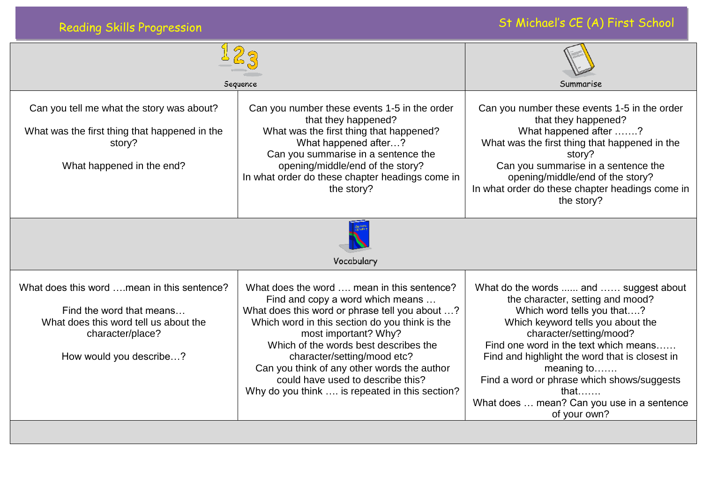| <b>Reading Skills Progression</b>                                                                                                                               |                                                                                                                                                                                                                                                                                                                                                                                                                          | St Michael's CE (A) First School                                                                                                                                                                                                                                                                                                                                                                             |  |  |
|-----------------------------------------------------------------------------------------------------------------------------------------------------------------|--------------------------------------------------------------------------------------------------------------------------------------------------------------------------------------------------------------------------------------------------------------------------------------------------------------------------------------------------------------------------------------------------------------------------|--------------------------------------------------------------------------------------------------------------------------------------------------------------------------------------------------------------------------------------------------------------------------------------------------------------------------------------------------------------------------------------------------------------|--|--|
| Sequence                                                                                                                                                        |                                                                                                                                                                                                                                                                                                                                                                                                                          | Summarise                                                                                                                                                                                                                                                                                                                                                                                                    |  |  |
| Can you tell me what the story was about?<br>What was the first thing that happened in the<br>story?<br>What happened in the end?                               | Can you number these events 1-5 in the order<br>that they happened?<br>What was the first thing that happened?<br>What happened after?<br>Can you summarise in a sentence the<br>opening/middle/end of the story?<br>In what order do these chapter headings come in<br>the story?                                                                                                                                       | Can you number these events 1-5 in the order<br>that they happened?<br>What happened after ?<br>What was the first thing that happened in the<br>story?<br>Can you summarise in a sentence the<br>opening/middle/end of the story?<br>In what order do these chapter headings come in<br>the story?                                                                                                          |  |  |
| Vocabulary                                                                                                                                                      |                                                                                                                                                                                                                                                                                                                                                                                                                          |                                                                                                                                                                                                                                                                                                                                                                                                              |  |  |
| What does this word  mean in this sentence?<br>Find the word that means<br>What does this word tell us about the<br>character/place?<br>How would you describe? | What does the word  mean in this sentence?<br>Find and copy a word which means<br>What does this word or phrase tell you about ?<br>Which word in this section do you think is the<br>most important? Why?<br>Which of the words best describes the<br>character/setting/mood etc?<br>Can you think of any other words the author<br>could have used to describe this?<br>Why do you think  is repeated in this section? | What do the words  and  suggest about<br>the character, setting and mood?<br>Which word tells you that?<br>Which keyword tells you about the<br>character/setting/mood?<br>Find one word in the text which means<br>Find and highlight the word that is closest in<br>meaning to<br>Find a word or phrase which shows/suggests<br>that $\dots$<br>What does  mean? Can you use in a sentence<br>of your own? |  |  |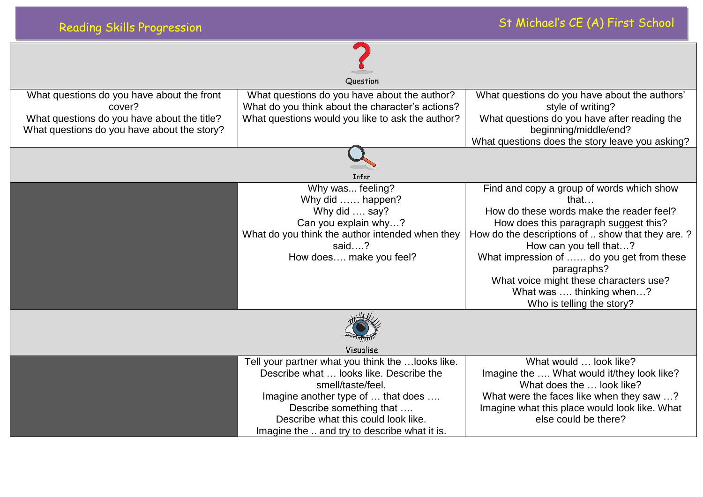